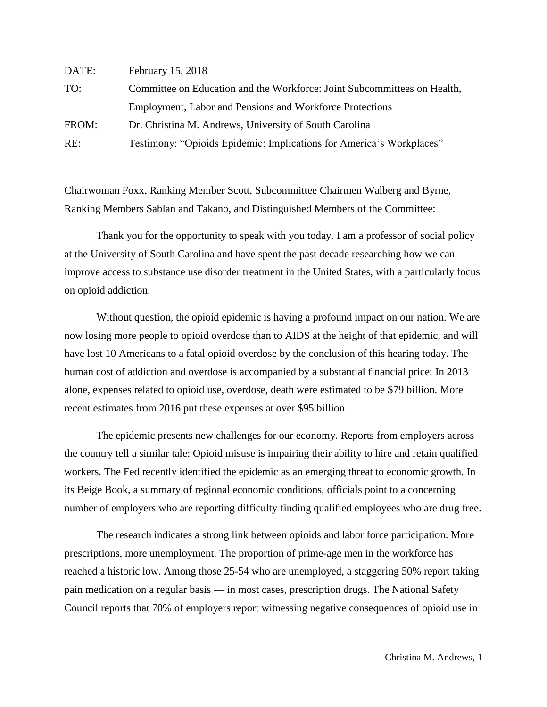| DATE: | February 15, 2018                                                        |
|-------|--------------------------------------------------------------------------|
| TO:   | Committee on Education and the Workforce: Joint Subcommittees on Health, |
|       | Employment, Labor and Pensions and Workforce Protections                 |
| FROM: | Dr. Christina M. Andrews, University of South Carolina                   |
| RE:   | Testimony: "Opioids Epidemic: Implications for America's Workplaces"     |

Chairwoman Foxx, Ranking Member Scott, Subcommittee Chairmen Walberg and Byrne, Ranking Members Sablan and Takano, and Distinguished Members of the Committee:

Thank you for the opportunity to speak with you today. I am a professor of social policy at the University of South Carolina and have spent the past decade researching how we can improve access to substance use disorder treatment in the United States, with a particularly focus on opioid addiction.

Without question, the opioid epidemic is having a profound impact on our nation. We are now losing more people to opioid overdose than to AIDS at the height of that epidemic, and will have lost 10 Americans to a fatal opioid overdose by the conclusion of this hearing today. The human cost of addiction and overdose is accompanied by a substantial financial price: In 2013 alone, expenses related to opioid use, overdose, death were estimated to be \$79 billion. More recent estimates from 2016 put these expenses at over \$95 billion.

The epidemic presents new challenges for our economy. Reports from employers across the country tell a similar tale: Opioid misuse is impairing their ability to hire and retain qualified workers. The Fed recently identified the epidemic as an emerging threat to economic growth. In its Beige Book, a summary of regional economic conditions, officials point to a concerning number of employers who are reporting difficulty finding qualified employees who are drug free.

The research indicates a strong link between opioids and labor force participation. More prescriptions, more unemployment. The proportion of prime-age men in the workforce has reached a historic low. Among those 25-54 who are unemployed, a staggering 50% report taking pain medication on a regular basis — in most cases, prescription drugs. The National Safety Council reports that 70% of employers report witnessing negative consequences of opioid use in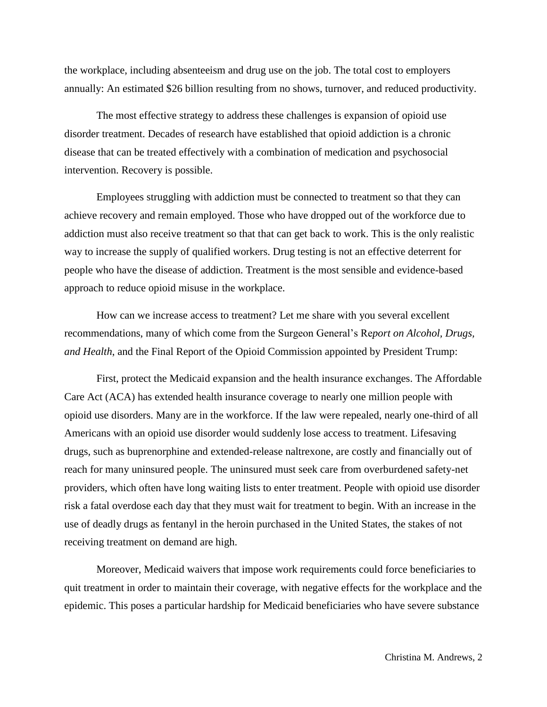the workplace, including absenteeism and drug use on the job. The total cost to employers annually: An estimated \$26 billion resulting from no shows, turnover, and reduced productivity.

The most effective strategy to address these challenges is expansion of opioid use disorder treatment. Decades of research have established that opioid addiction is a chronic disease that can be treated effectively with a combination of medication and psychosocial intervention. Recovery is possible.

Employees struggling with addiction must be connected to treatment so that they can achieve recovery and remain employed. Those who have dropped out of the workforce due to addiction must also receive treatment so that that can get back to work. This is the only realistic way to increase the supply of qualified workers. Drug testing is not an effective deterrent for people who have the disease of addiction. Treatment is the most sensible and evidence-based approach to reduce opioid misuse in the workplace.

How can we increase access to treatment? Let me share with you several excellent recommendations, many of which come from the Surgeon General's Re*port on Alcohol, Drugs, and Health*, and the Final Report of the Opioid Commission appointed by President Trump:

First, protect the Medicaid expansion and the health insurance exchanges. The Affordable Care Act (ACA) has extended health insurance coverage to nearly one million people with opioid use disorders. Many are in the workforce. If the law were repealed, nearly one-third of all Americans with an opioid use disorder would suddenly lose access to treatment. Lifesaving drugs, such as buprenorphine and extended-release naltrexone, are costly and financially out of reach for many uninsured people. The uninsured must seek care from overburdened safety-net providers, which often have long waiting lists to enter treatment. People with opioid use disorder risk a fatal overdose each day that they must wait for treatment to begin. With an increase in the use of deadly drugs as fentanyl in the heroin purchased in the United States, the stakes of not receiving treatment on demand are high.

Moreover, Medicaid waivers that impose work requirements could force beneficiaries to quit treatment in order to maintain their coverage, with negative effects for the workplace and the epidemic. This poses a particular hardship for Medicaid beneficiaries who have severe substance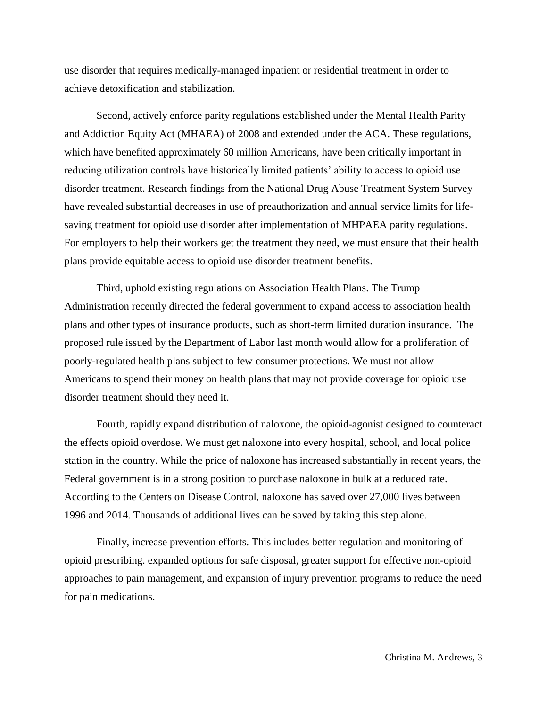use disorder that requires medically-managed inpatient or residential treatment in order to achieve detoxification and stabilization.

Second, actively enforce parity regulations established under the Mental Health Parity and Addiction Equity Act (MHAEA) of 2008 and extended under the ACA. These regulations, which have benefited approximately 60 million Americans, have been critically important in reducing utilization controls have historically limited patients' ability to access to opioid use disorder treatment. Research findings from the National Drug Abuse Treatment System Survey have revealed substantial decreases in use of preauthorization and annual service limits for lifesaving treatment for opioid use disorder after implementation of MHPAEA parity regulations. For employers to help their workers get the treatment they need, we must ensure that their health plans provide equitable access to opioid use disorder treatment benefits.

Third, uphold existing regulations on Association Health Plans. The Trump Administration recently directed the federal government to expand access to association health plans and other types of insurance products, such as short-term limited duration insurance. The proposed rule issued by the Department of Labor last month would allow for a proliferation of poorly-regulated health plans subject to few consumer protections. We must not allow Americans to spend their money on health plans that may not provide coverage for opioid use disorder treatment should they need it.

Fourth, rapidly expand distribution of naloxone, the opioid-agonist designed to counteract the effects opioid overdose. We must get naloxone into every hospital, school, and local police station in the country. While the price of naloxone has increased substantially in recent years, the Federal government is in a strong position to purchase naloxone in bulk at a reduced rate. According to the Centers on Disease Control, naloxone has saved over 27,000 lives between 1996 and 2014. Thousands of additional lives can be saved by taking this step alone.

Finally, increase prevention efforts. This includes better regulation and monitoring of opioid prescribing. expanded options for safe disposal, greater support for effective non-opioid approaches to pain management, and expansion of injury prevention programs to reduce the need for pain medications.